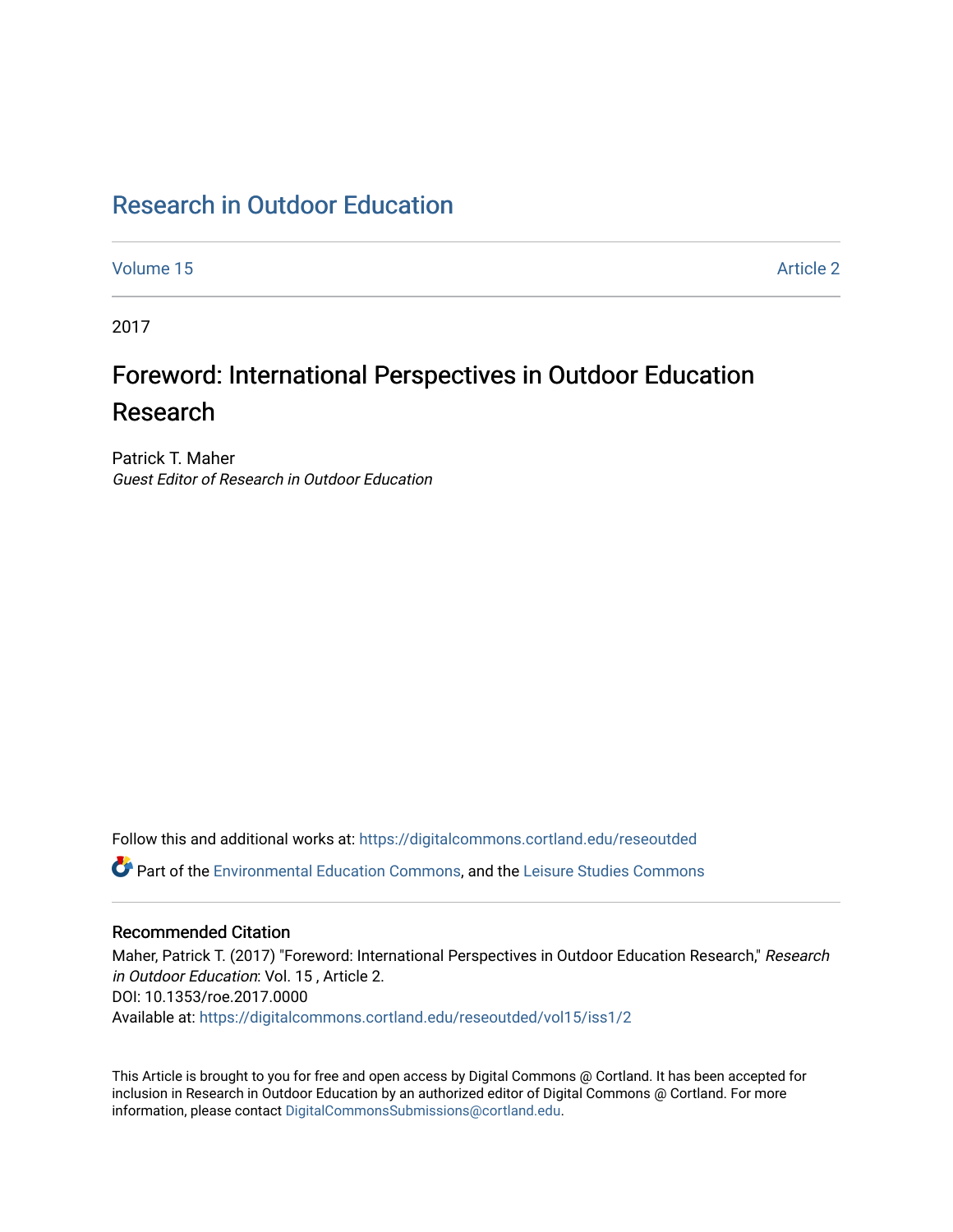## [Research in Outdoor Education](https://digitalcommons.cortland.edu/reseoutded)

[Volume 15](https://digitalcommons.cortland.edu/reseoutded/vol15) Article 2

2017

# Foreword: International Perspectives in Outdoor Education Research

Patrick T. Maher Guest Editor of Research in Outdoor Education

Follow this and additional works at: [https://digitalcommons.cortland.edu/reseoutded](https://digitalcommons.cortland.edu/reseoutded?utm_source=digitalcommons.cortland.edu%2Freseoutded%2Fvol15%2Fiss1%2F2&utm_medium=PDF&utm_campaign=PDFCoverPages) Part of the [Environmental Education Commons](http://network.bepress.com/hgg/discipline/1305?utm_source=digitalcommons.cortland.edu%2Freseoutded%2Fvol15%2Fiss1%2F2&utm_medium=PDF&utm_campaign=PDFCoverPages), and the [Leisure Studies Commons](http://network.bepress.com/hgg/discipline/1197?utm_source=digitalcommons.cortland.edu%2Freseoutded%2Fvol15%2Fiss1%2F2&utm_medium=PDF&utm_campaign=PDFCoverPages) 

### Recommended Citation

Maher, Patrick T. (2017) "Foreword: International Perspectives in Outdoor Education Research," Research in Outdoor Education: Vol. 15 , Article 2. DOI: 10.1353/roe.2017.0000 Available at: [https://digitalcommons.cortland.edu/reseoutded/vol15/iss1/2](https://digitalcommons.cortland.edu/reseoutded/vol15/iss1/2?utm_source=digitalcommons.cortland.edu%2Freseoutded%2Fvol15%2Fiss1%2F2&utm_medium=PDF&utm_campaign=PDFCoverPages) 

This Article is brought to you for free and open access by Digital Commons @ Cortland. It has been accepted for inclusion in Research in Outdoor Education by an authorized editor of Digital Commons @ Cortland. For more information, please contact [DigitalCommonsSubmissions@cortland.edu](mailto:DigitalCommonsSubmissions@cortland.edu).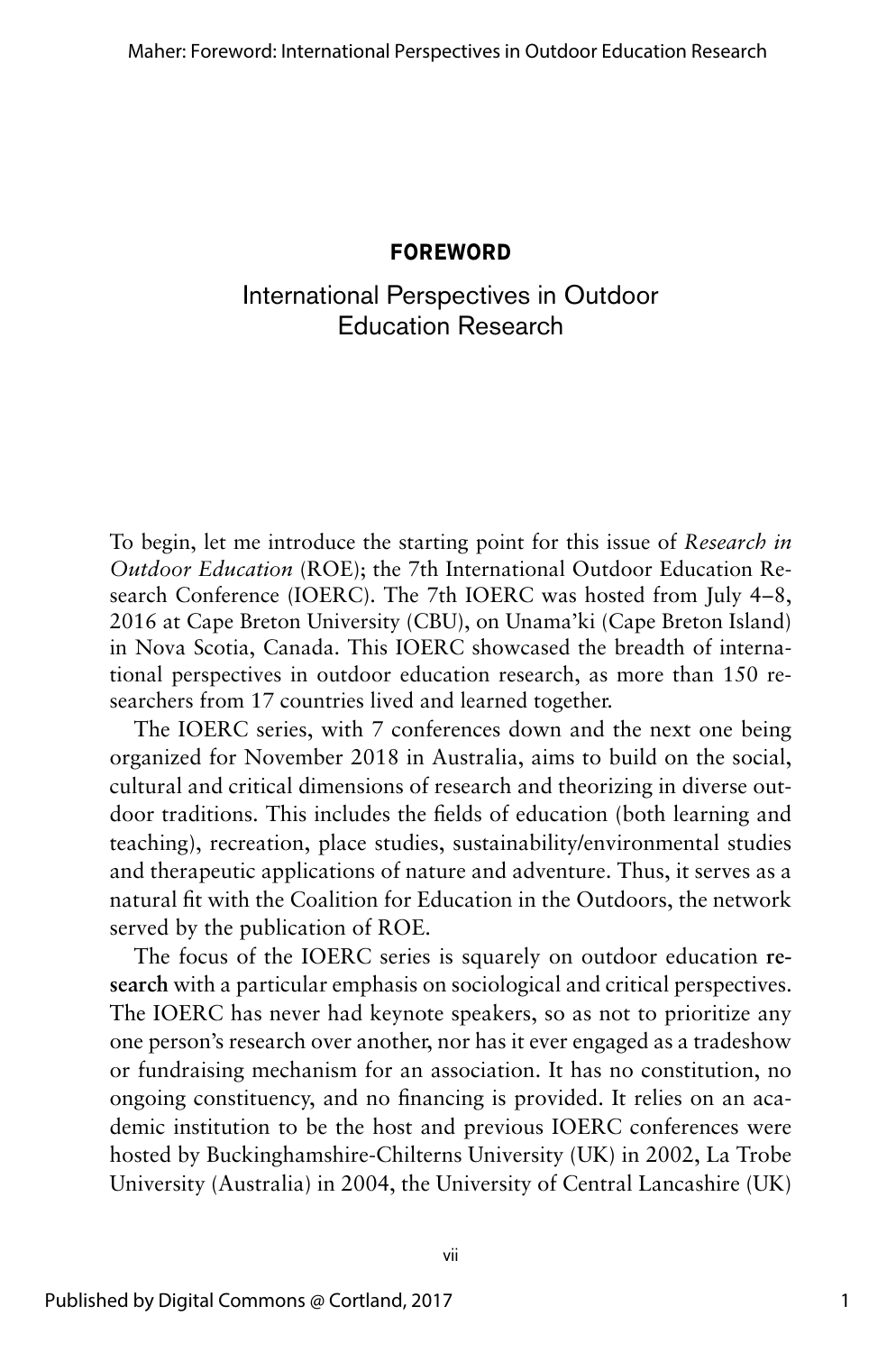### **FOREWORD**

### International Perspectives in Outdoor Education Research

To begin, let me introduce the starting point for this issue of *Research in Outdoor Education* (ROE); the 7th International Outdoor Education Research Conference (IOERC). The 7th IOERC was hosted from July 4-8, 2016 at Cape Breton University (CBU), on Unama'ki (Cape Breton Island) in Nova Scotia, Canada. This IOERC showcased the breadth of international perspectives in outdoor education research, as more than 150 researchers from 17 countries lived and learned together.

The IOERC series, with 7 conferences down and the next one being organized for November 2018 in Australia, aims to build on the social, cultural and critical dimensions of research and theorizing in diverse outdoor traditions. This includes the fields of education (both learning and teaching), recreation, place studies, sustainability/environmental studies and therapeutic applications of nature and adventure. Thus, it serves as a natural fit with the Coalition for Education in the Outdoors, the network served by the publication of ROE.

The focus of the IOERC series is squarely on outdoor education **research** with a particular emphasis on sociological and critical perspectives. The IOERC has never had keynote speakers, so as not to prioritize any one person's research over another, nor has it ever engaged as a tradeshow or fundraising mechanism for an association. It has no constitution, no ongoing constituency, and no financing is provided. It relies on an academic institution to be the host and previous IOERC conferences were hosted by Buckinghamshire-Chilterns University (UK) in 2002, La Trobe University (Australia) in 2004, the University of Central Lancashire (UK)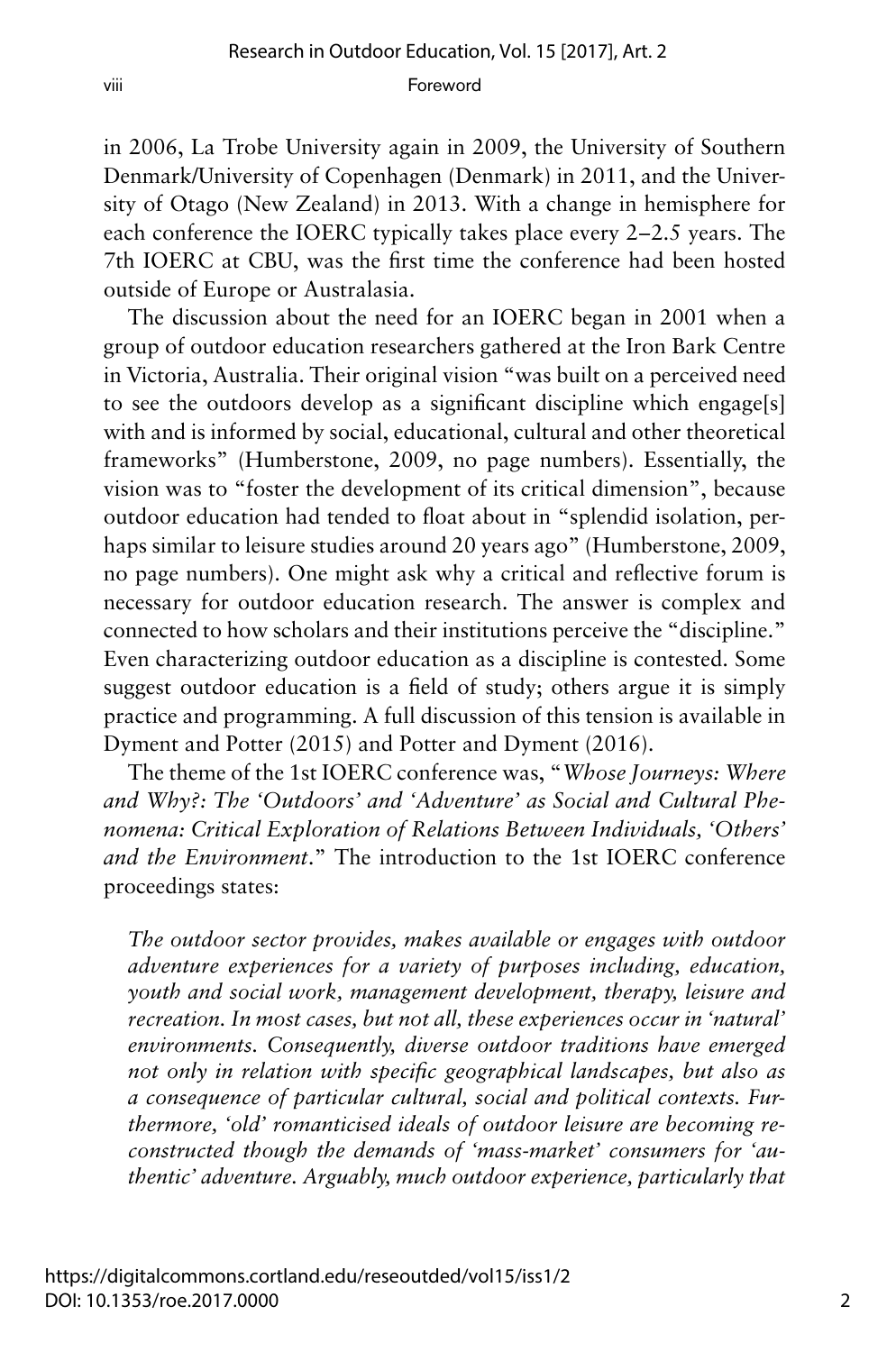#### viii **Foreword**

in 2006, La Trobe University again in 2009, the University of Southern Denmark/University of Copenhagen (Denmark) in 2011, and the University of Otago (New Zealand) in 2013. With a change in hemisphere for each conference the IOERC typically takes place every 2–2.5 years. The 7th IOERC at CBU, was the first time the conference had been hosted outside of Europe or Australasia.

The discussion about the need for an IOERC began in 2001 when a group of outdoor education researchers gathered at the Iron Bark Centre in Victoria, Australia. Their original vision "was built on a perceived need to see the outdoors develop as a significant discipline which engage[s] with and is informed by social, educational, cultural and other theoretical frameworks" (Humberstone, 2009, no page numbers). Essentially, the vision was to "foster the development of its critical dimension", because outdoor education had tended to float about in "splendid isolation, perhaps similar to leisure studies around 20 years ago" (Humberstone, 2009, no page numbers). One might ask why a critical and reflective forum is necessary for outdoor education research. The answer is complex and connected to how scholars and their institutions perceive the "discipline." Even characterizing outdoor education as a discipline is contested. Some suggest outdoor education is a field of study; others argue it is simply practice and programming. A full discussion of this tension is available in Dyment and Potter (2015) and Potter and Dyment (2016).

The theme of the 1st IOERC conference was, "*Whose Journeys: Where and Why?: The 'Outdoors' and 'Adventure' as Social and Cultural Phenomena: Critical Exploration of Relations Between Individuals, 'Others' and the Environment*." The introduction to the 1st IOERC conference proceedings states:

*The outdoor sector provides, makes available or engages with outdoor adventure experiences for a variety of purposes including, education, youth and social work, management development, therapy, leisure and recreation. In most cases, but not all, these experiences occur in 'natural' environments. Consequently, diverse outdoor traditions have emerged not only in relation with specific geographical landscapes, but also as a consequence of particular cultural, social and political contexts. Furthermore, 'old' romanticised ideals of outdoor leisure are becoming reconstructed though the demands of 'mass-market' consumers for 'authentic' adventure. Arguably, much outdoor experience, particularly that*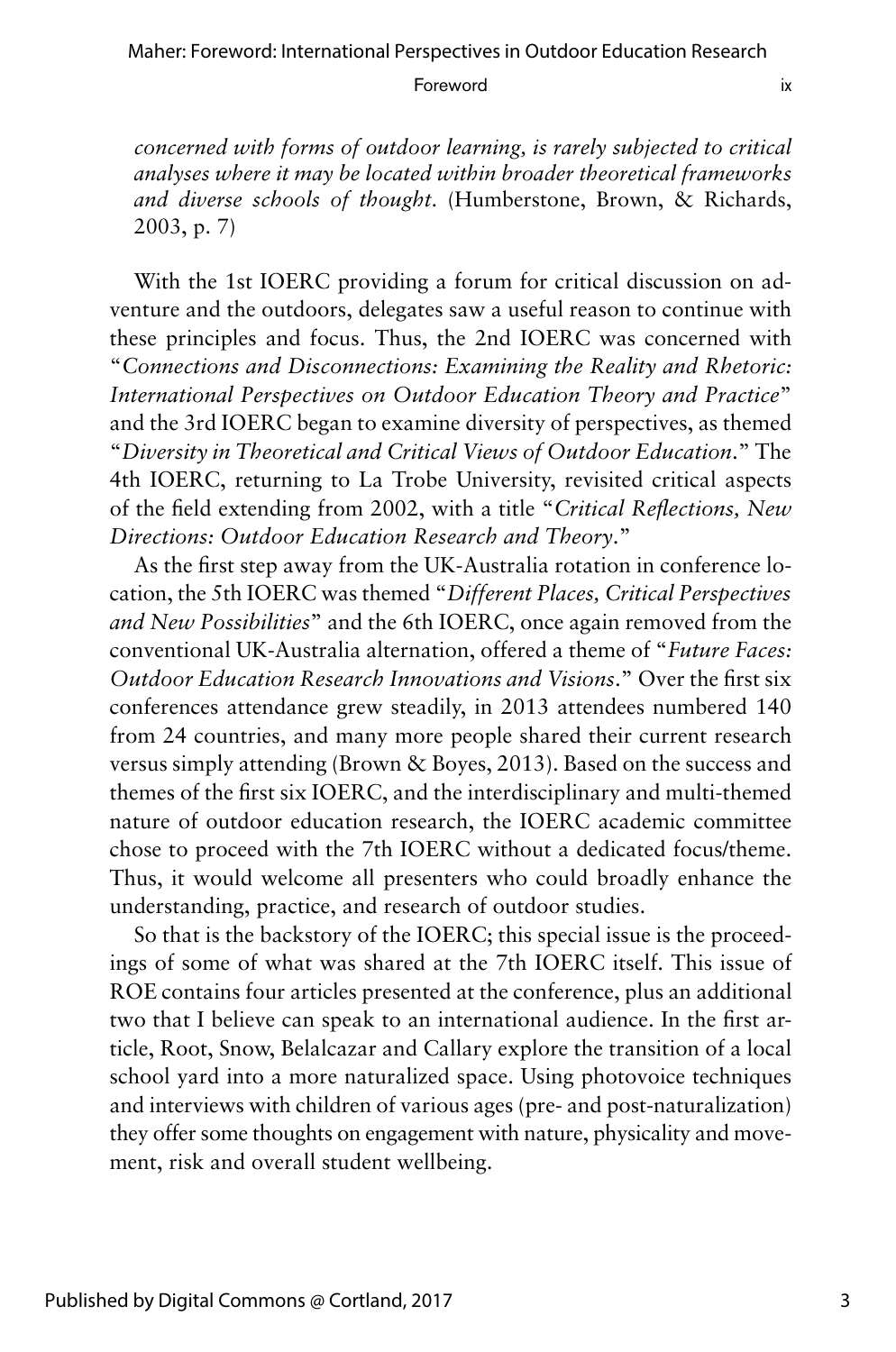Foreword ix in the set of the set of the set of the set of the set of the set of the set of the set of the set of the set of the set of the set of the set of the set of the set of the set of the set of the set of the set o

*concerned with forms of outdoor learning, is rarely subjected to critical analyses where it may be located within broader theoretical frameworks and diverse schools of thought*. (Humberstone, Brown, & Richards, 2003, p. 7)

With the 1st IOERC providing a forum for critical discussion on adventure and the outdoors, delegates saw a useful reason to continue with these principles and focus. Thus, the 2nd IOERC was concerned with "*Connections and Disconnections: Examining the Reality and Rhetoric: International Perspectives on Outdoor Education Theory and Practice*" and the 3rd IOERC began to examine diversity of perspectives, as themed "*Diversity in Theoretical and Critical Views of Outdoor Education*." The 4th IOERC, returning to La Trobe University, revisited critical aspects of the field extending from 2002, with a title "*Critical Reflections, New Directions: Outdoor Education Research and Theory*."

As the first step away from the UK-Australia rotation in conference location, the 5th IOERC was themed "*Different Places, Critical Perspectives and New Possibilities*" and the 6th IOERC, once again removed from the conventional UK-Australia alternation, offered a theme of "*Future Faces: Outdoor Education Research Innovations and Visions*." Over the first six conferences attendance grew steadily, in 2013 attendees numbered 140 from 24 countries, and many more people shared their current research versus simply attending (Brown & Boyes, 2013). Based on the success and themes of the first six IOERC, and the interdisciplinary and multi-themed nature of outdoor education research, the IOERC academic committee chose to proceed with the 7th IOERC without a dedicated focus/theme. Thus, it would welcome all presenters who could broadly enhance the understanding, practice, and research of outdoor studies.

So that is the backstory of the IOERC; this special issue is the proceedings of some of what was shared at the 7th IOERC itself. This issue of ROE contains four articles presented at the conference, plus an additional two that I believe can speak to an international audience. In the first article, Root, Snow, Belalcazar and Callary explore the transition of a local school yard into a more naturalized space. Using photovoice techniques and interviews with children of various ages (pre- and post-naturalization) they offer some thoughts on engagement with nature, physicality and movement, risk and overall student wellbeing.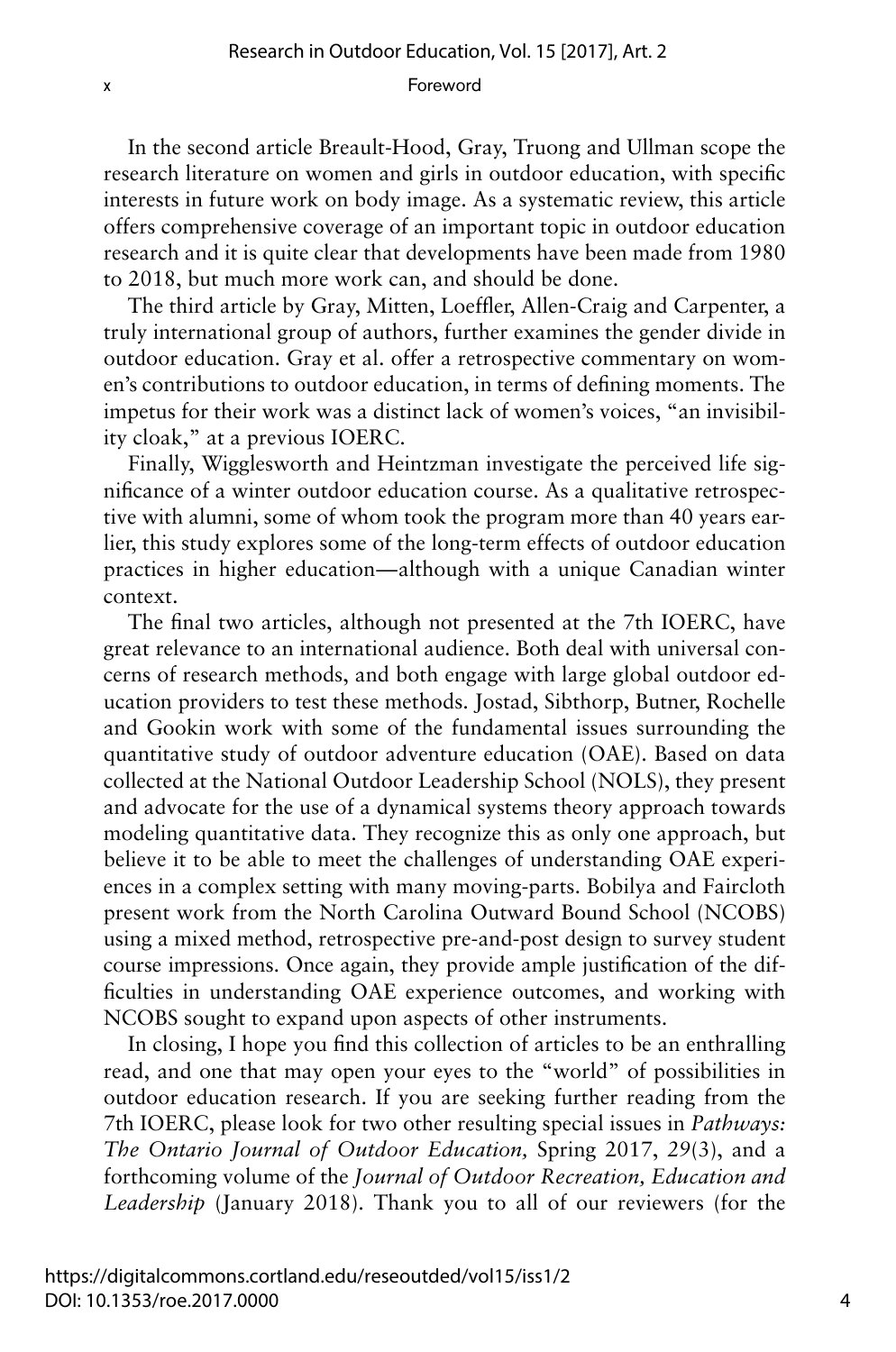#### x Foreword

In the second article Breault-Hood, Gray, Truong and Ullman scope the research literature on women and girls in outdoor education, with specific interests in future work on body image. As a systematic review, this article offers comprehensive coverage of an important topic in outdoor education research and it is quite clear that developments have been made from 1980 to 2018, but much more work can, and should be done.

The third article by Gray, Mitten, Loeffler, Allen-Craig and Carpenter, a truly international group of authors, further examines the gender divide in outdoor education. Gray et al. offer a retrospective commentary on women's contributions to outdoor education, in terms of defining moments. The impetus for their work was a distinct lack of women's voices, "an invisibility cloak," at a previous IOERC.

Finally, Wigglesworth and Heintzman investigate the perceived life significance of a winter outdoor education course. As a qualitative retrospective with alumni, some of whom took the program more than 40 years earlier, this study explores some of the long-term effects of outdoor education practices in higher education—although with a unique Canadian winter context.

The final two articles, although not presented at the 7th IOERC, have great relevance to an international audience. Both deal with universal concerns of research methods, and both engage with large global outdoor education providers to test these methods. Jostad, Sibthorp, Butner, Rochelle and Gookin work with some of the fundamental issues surrounding the quantitative study of outdoor adventure education (OAE). Based on data collected at the National Outdoor Leadership School (NOLS), they present and advocate for the use of a dynamical systems theory approach towards modeling quantitative data. They recognize this as only one approach, but believe it to be able to meet the challenges of understanding OAE experiences in a complex setting with many moving-parts. Bobilya and Faircloth present work from the North Carolina Outward Bound School (NCOBS) using a mixed method, retrospective pre-and-post design to survey student course impressions. Once again, they provide ample justification of the difficulties in understanding OAE experience outcomes, and working with NCOBS sought to expand upon aspects of other instruments.

In closing, I hope you find this collection of articles to be an enthralling read, and one that may open your eyes to the "world" of possibilities in outdoor education research. If you are seeking further reading from the 7th IOERC, please look for two other resulting special issues in *Pathways: The Ontario Journal of Outdoor Education,* Spring 2017, *29*(3), and a forthcoming volume of the *Journal of Outdoor Recreation, Education and Leadership* (January 2018). Thank you to all of our reviewers (for the